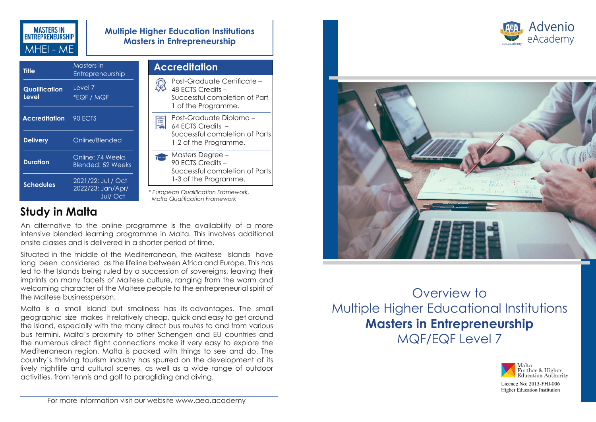

| <b>Multiple Higher Education Institutions</b> |
|-----------------------------------------------|
| <b>Masters in Entrepreneurship</b>            |

| <b>Title</b>           | Masters in<br>Entrepreneurship                            |
|------------------------|-----------------------------------------------------------|
| Qualification<br>Level | Level 7<br>*EQF / MQF                                     |
| <b>Accreditation</b>   | 90 ECTS                                                   |
| <b>Delivery</b>        | Online/Blended                                            |
| <b>Duration</b>        | Online: 74 Weeks<br>Blended: 52 Weeks                     |
| <b>Schedules</b>       | 2021/22: Jul / Oct<br>2022/23: Jan/Apr/<br><b>Jul/Oct</b> |

| <b>Accreditation</b> |  |                                                                                                          |  |
|----------------------|--|----------------------------------------------------------------------------------------------------------|--|
|                      |  | Post-Graduate Certificate –<br>48 FCTS Credits -<br>Successful completion of Part<br>1 of the Programme. |  |
|                      |  | Post-Graduate Diploma –<br>64 FCTS Credits<br>Successful completion of Parts<br>1-2 of the Programme.    |  |
|                      |  | Masters Degree –<br>90 FCTS Credits -<br>Successful completion of Parts<br>1-3 of the Programme.         |  |
|                      |  | * European Qualification Framework,<br>Malta Qualification Framework                                     |  |

# **Study in Malta**

An alternative to the online programme is the availability of a more intensive blended learning programme in Malta. This involves additional onsite classes and is delivered in a shorter period of time.

Situated in the middle of the Mediterranean, the Maltese Islands have long been considered as the lifeline between Africa and Europe. This has led to the Islands being ruled by a succession of sovereigns, leaving their imprints on many facets of Maltese culture, ranging from the warm and welcoming character of the Maltese people to the entrepreneurial spirit of the Maltese businessperson.

Malta is a small island but smallness has its advantages. The small geographic size makes it relatively cheap, quick and easy to get around the island, especially with the many direct bus routes to and from various bus termini. Malta's proximity to other Schengen and EU countries and the numerous direct flight connections make it very easy to explore the Mediterranean region. Malta is packed with things to see and do. The country's thriving tourism industry has spurred on the development of its lively nightlife and cultural scenes, as well as a wide range of outdoor activities, from tennis and golf to paragliding and diving.





Overview to Multiple Higher Educational Institutions **Masters in Entrepreneurship**  MQF/EQF Level 7



Higher Education Institution